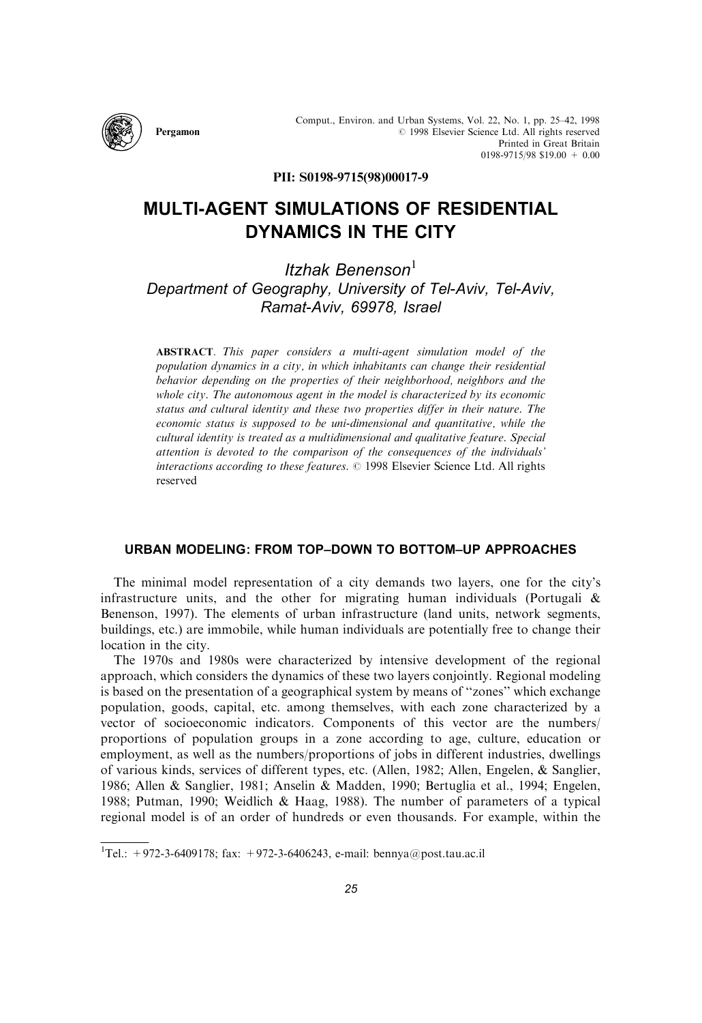

Comput., Environ. and Urban Systems, Vol. 22, No. 1, pp. 25-42, 1998  $© 1998 Elsevier Science Ltd. All rights reserved$ Printed in Great Britain 0198-9715/98 \$19.00 + 0.00

PII: S0198-9715(98)00017-9

# MULTI-AGENT SIMULATIONS OF RESIDENTIAL DYNAMICS IN THE CITY

Itzhak Benenson $1$ Department of Geography, University of Tel-Aviv, Tel-Aviv, Ramat-Aviv, 69978, Israel

ABSTRACT. This paper considers a multi-agent simulation model of the population dynamics in a city, in which inhabitants can change their residential behavior depending on the properties of their neighborhood, neighbors and the whole city. The autonomous agent in the model is characterized by its economic status and cultural identity and these two properties differ in their nature. The economic status is supposed to be uni-dimensional and quantitative, while the cultural identity is treated as a multidimensional and qualitative feature. Special attention is devoted to the comparison of the consequences of the individuals' interactions according to these features.  $©$  1998 Elsevier Science Ltd. All rights reserved

# URBAN MODELING: FROM TOP-DOWN TO BOTTOM-UP APPROACHES

The minimal model representation of a city demands two layers, one for the city's infrastructure units, and the other for migrating human individuals (Portugali  $\&$ Benenson, 1997). The elements of urban infrastructure (land units, network segments, buildings, etc.) are immobile, while human individuals are potentially free to change their location in the city.

The 1970s and 1980s were characterized by intensive development of the regional approach, which considers the dynamics of these two layers conjointly. Regional modeling is based on the presentation of a geographical system by means of "zones" which exchange population, goods, capital, etc. among themselves, with each zone characterized by a vector of socioeconomic indicators. Components of this vector are the numbers/ proportions of population groups in a zone according to age, culture, education or employment, as well as the numbers/proportions of jobs in different industries, dwellings of various kinds, services of different types, etc. (Allen, 1982; Allen, Engelen, & Sanglier, 1986; Allen & Sanglier, 1981; Anselin & Madden, 1990; Bertuglia et al., 1994; Engelen, 1988; Putman, 1990; Weidlich & Haag, 1988). The number of parameters of a typical regional model is of an order of hundreds or even thousands. For example, within the

<sup>&</sup>lt;sup>1</sup>Tel.: +972-3-6409178; fax: +972-3-6406243, e-mail: bennya@post.tau.ac.il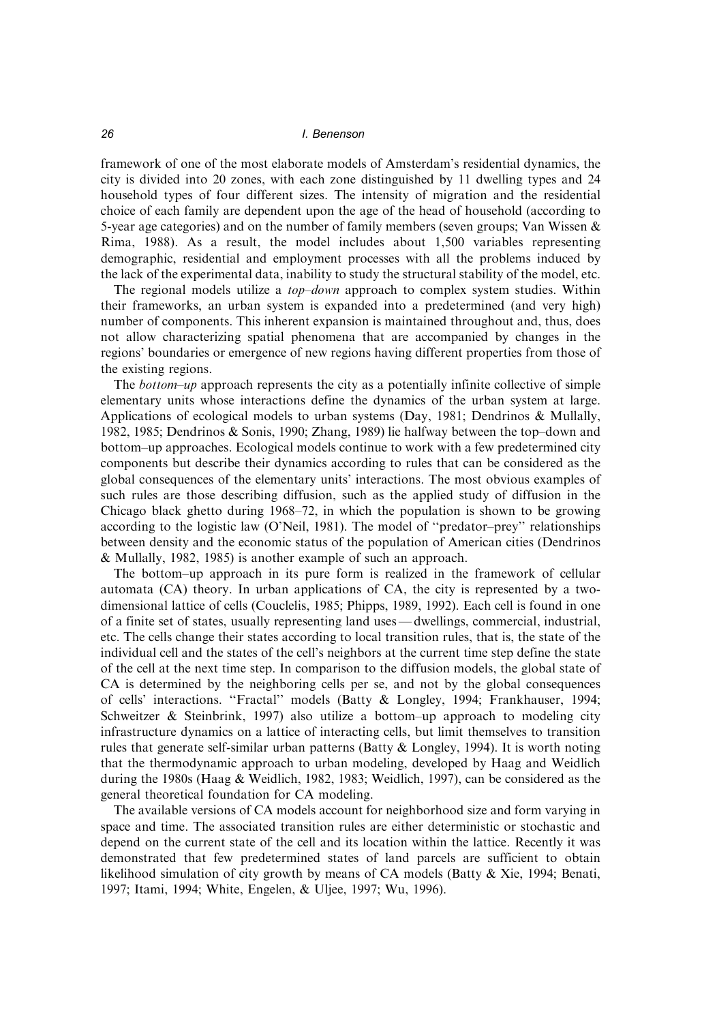framework of one of the most elaborate models of Amsterdam's residential dynamics, the city is divided into 20 zones, with each zone distinguished by 11 dwelling types and 24 household types of four different sizes. The intensity of migration and the residential choice of each family are dependent upon the age of the head of household (according to 5-year age categories) and on the number of family members (seven groups; Van Wissen  $\&$ Rima, 1988). As a result, the model includes about 1,500 variables representing demographic, residential and employment processes with all the problems induced by the lack of the experimental data, inability to study the structural stability of the model, etc.

The regional models utilize a  $top-down$  approach to complex system studies. Within their frameworks, an urban system is expanded into a predetermined (and very high) number of components. This inherent expansion is maintained throughout and, thus, does not allow characterizing spatial phenomena that are accompanied by changes in the regions' boundaries or emergence of new regions having different properties from those of the existing regions.

The *bottom-up* approach represents the city as a potentially infinite collective of simple elementary units whose interactions define the dynamics of the urban system at large. Applications of ecological models to urban systems (Day, 1981; Dendrinos & Mullally, 1982, 1985; Dendrinos  $&$  Sonis, 1990; Zhang, 1989) lie halfway between the top-down and bottom-up approaches. Ecological models continue to work with a few predetermined city components but describe their dynamics according to rules that can be considered as the global consequences of the elementary units' interactions. The most obvious examples of such rules are those describing diffusion, such as the applied study of diffusion in the Chicago black ghetto during  $1968-72$ , in which the population is shown to be growing according to the logistic law (O'Neil, 1981). The model of "predator-prey" relationships between density and the economic status of the population of American cities (Dendrinos & Mullally, 1982, 1985) is another example of such an approach.

The bottom-up approach in its pure form is realized in the framework of cellular automata (CA) theory. In urban applications of CA, the city is represented by a twodimensional lattice of cells (Couclelis, 1985; Phipps, 1989, 1992). Each cell is found in one of a finite set of states, usually representing land uses — dwellings, commercial, industrial, etc. The cells change their states according to local transition rules, that is, the state of the individual cell and the states of the cell's neighbors at the current time step define the state of the cell at the next time step. In comparison to the diffusion models, the global state of CA is determined by the neighboring cells per se, and not by the global consequences of cells' interactions. ``Fractal'' models (Batty & Longley, 1994; Frankhauser, 1994; Schweitzer & Steinbrink, 1997) also utilize a bottom-up approach to modeling city infrastructure dynamics on a lattice of interacting cells, but limit themselves to transition rules that generate self-similar urban patterns (Batty & Longley, 1994). It is worth noting that the thermodynamic approach to urban modeling, developed by Haag and Weidlich during the 1980s (Haag & Weidlich, 1982, 1983; Weidlich, 1997), can be considered as the general theoretical foundation for CA modeling.

The available versions of CA models account for neighborhood size and form varying in space and time. The associated transition rules are either deterministic or stochastic and depend on the current state of the cell and its location within the lattice. Recently it was demonstrated that few predetermined states of land parcels are sufficient to obtain likelihood simulation of city growth by means of CA models (Batty & Xie, 1994; Benati, 1997; Itami, 1994; White, Engelen, & Uljee, 1997; Wu, 1996).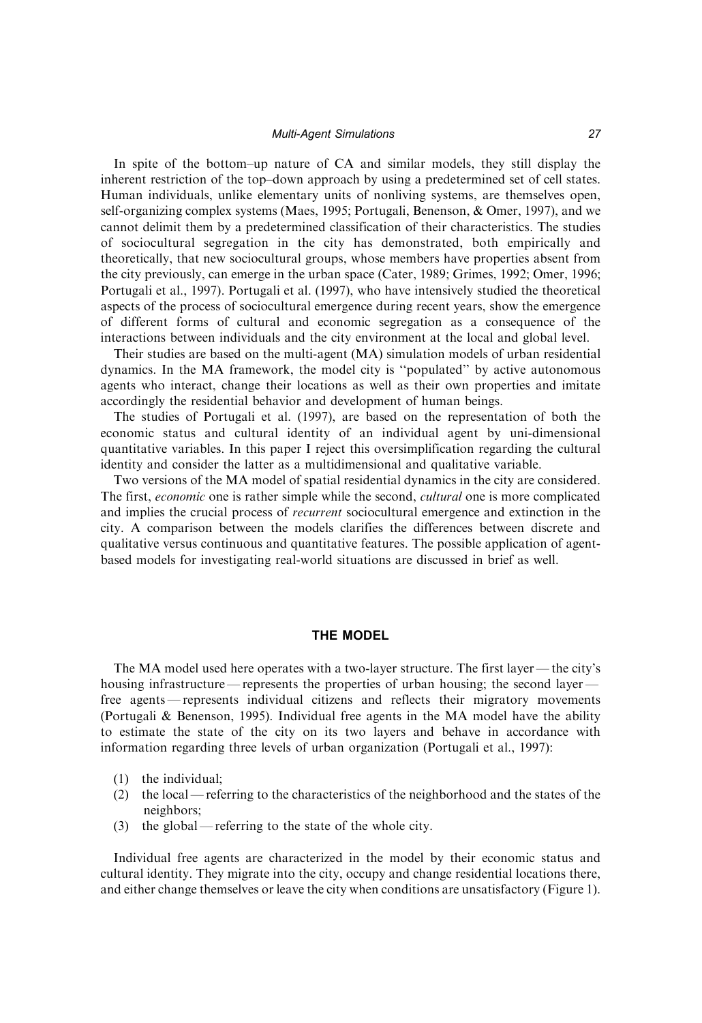In spite of the bottom-up nature of CA and similar models, they still display the inherent restriction of the top-down approach by using a predetermined set of cell states. Human individuals, unlike elementary units of nonliving systems, are themselves open, self-organizing complex systems (Maes, 1995; Portugali, Benenson, & Omer, 1997), and we cannot delimit them by a predetermined classification of their characteristics. The studies of sociocultural segregation in the city has demonstrated, both empirically and theoretically, that new sociocultural groups, whose members have properties absent from the city previously, can emerge in the urban space (Cater, 1989; Grimes, 1992; Omer, 1996; Portugali et al., 1997). Portugali et al. (1997), who have intensively studied the theoretical aspects of the process of sociocultural emergence during recent years, show the emergence of different forms of cultural and economic segregation as a consequence of the interactions between individuals and the city environment at the local and global level.

Their studies are based on the multi-agent (MA) simulation models of urban residential dynamics. In the MA framework, the model city is "populated" by active autonomous agents who interact, change their locations as well as their own properties and imitate accordingly the residential behavior and development of human beings.

The studies of Portugali et al. (1997), are based on the representation of both the economic status and cultural identity of an individual agent by uni-dimensional quantitative variables. In this paper I reject this oversimplification regarding the cultural identity and consider the latter as a multidimensional and qualitative variable.

Two versions of the MA model of spatial residential dynamics in the city are considered. The first, *economic* one is rather simple while the second, *cultural* one is more complicated and implies the crucial process of recurrent sociocultural emergence and extinction in the city. A comparison between the models clarifies the differences between discrete and qualitative versus continuous and quantitative features. The possible application of agentbased models for investigating real-world situations are discussed in brief as well.

# THE MODEL

The MA model used here operates with a two-layer structure. The first layer — the city's housing infrastructure—represents the properties of urban housing; the second layer free agents — represents individual citizens and reflects their migratory movements (Portugali & Benenson, 1995). Individual free agents in the MA model have the ability to estimate the state of the city on its two layers and behave in accordance with information regarding three levels of urban organization (Portugali et al., 1997):

- (1) the individual;
- (2) the local referring to the characteristics of the neighborhood and the states of the neighbors;
- (3) the global  $-$  referring to the state of the whole city.

Individual free agents are characterized in the model by their economic status and cultural identity. They migrate into the city, occupy and change residential locations there, and either change themselves or leave the city when conditions are unsatisfactory (Figure 1).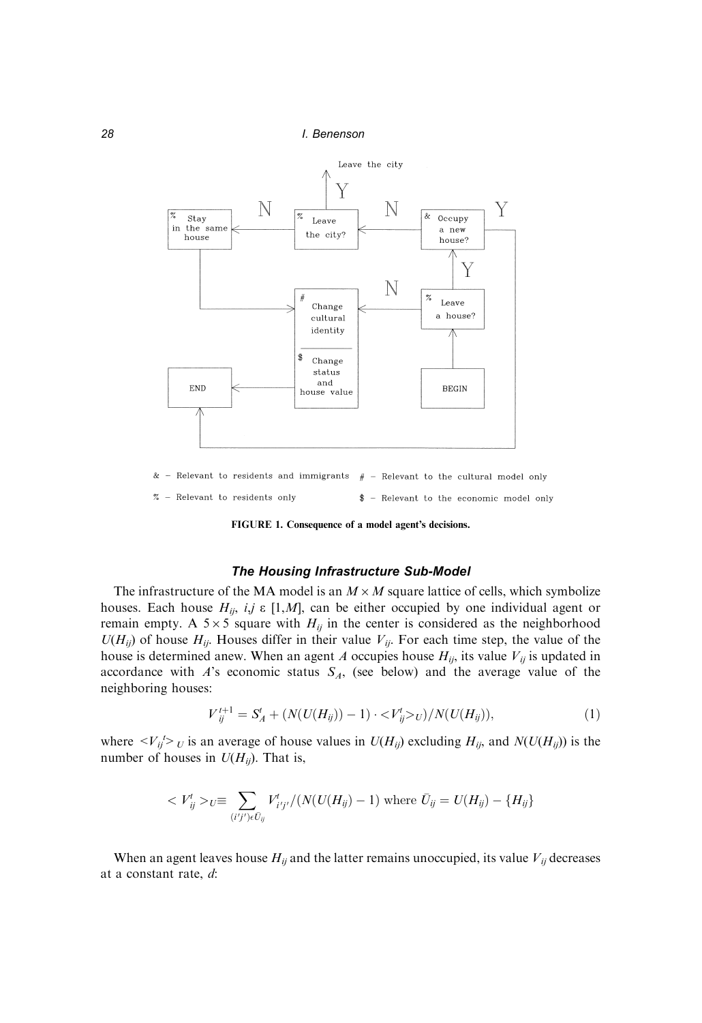

& - Relevant to residents and immigrants  $#$  - Relevant to the cultural model only % - Relevant to residents only \$ - Relevant to the economic model only

FIGURE 1. Consequence of a model agent's decisions.

#### The Housing Infrastructure Sub-Model

The infrastructure of the MA model is an  $M \times M$  square lattice of cells, which symbolize houses. Each house  $H_{ij}$ ,  $i, j \in [1, M]$ , can be either occupied by one individual agent or remain empty. A 5  $\times$  5 square with  $H_{ij}$  in the center is considered as the neighborhood  $U(H_{ij})$  of house  $H_{ij}$ . Houses differ in their value  $V_{ij}$ . For each time step, the value of the house is determined anew. When an agent A occupies house  $H_{ij}$ , its value  $V_{ij}$  is updated in accordance with  $A$ 's economic status  $S_A$ , (see below) and the average value of the neighboring houses:

$$
V_{ij}^{t+1} = S_A^t + (N(U(H_{ij})) - 1) \cdot \langle V_{ij}^t \rangle_U)/N(U(H_{ij})),
$$
\n(1)

where  $\langle V_{ij}^{\dagger} \rangle$  is an average of house values in  $U(H_{ij})$  excluding  $H_{ij}$ , and  $N(U(H_{ij}))$  is the number of houses in  $U(H_{ii})$ . That is,

$$
_U \equiv \sum_{(i'j')\in \bar{U}_{ij}} V'_{i'j'}/(N(U(H_{ij})-1))
$$
 where  $\bar{U}_{ij}=U(H_{ij})-\{H_{ij}\}$ 

When an agent leaves house  $H_{ij}$  and the latter remains unoccupied, its value  $V_{ij}$  decreases at a constant rate, d: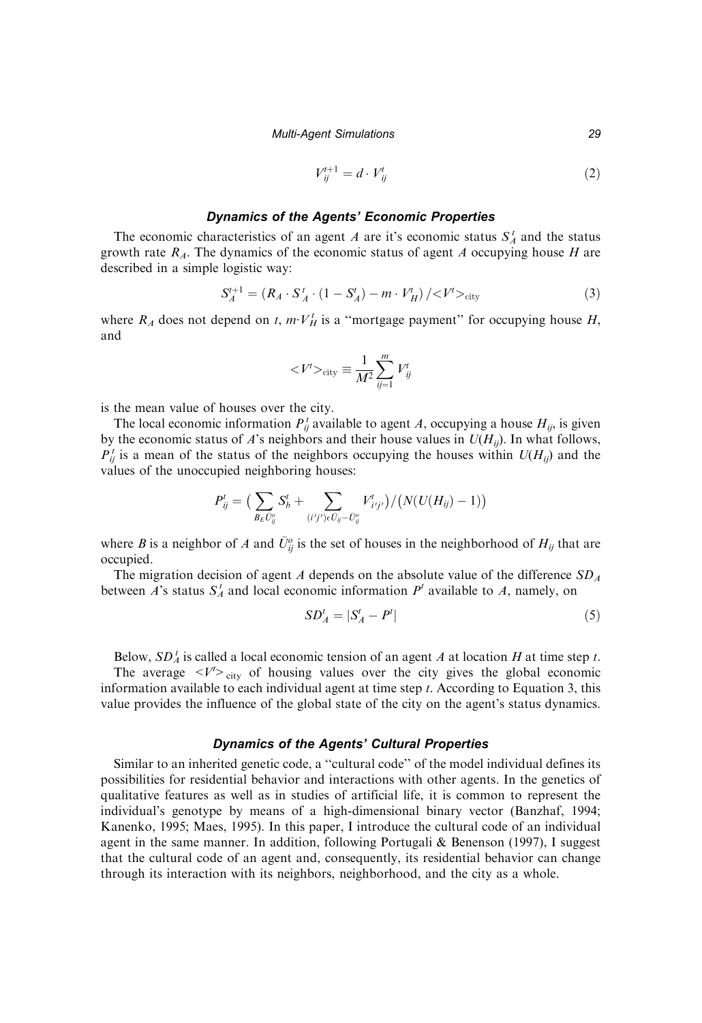$$
V_{ij}^{t+1} = d \cdot V_{ij}^t \tag{2}
$$

### Dynamics of the Agents' Economic Properties

The economic characteristics of an agent A are it's economic status  $S_A^t$  and the status growth rate  $R_A$ . The dynamics of the economic status of agent A occupying house H are described in a simple logistic way:

$$
S_A^{t+1} = (R_A \cdot S_A^t \cdot (1 - S_A^t) - m \cdot V_H^t) / \langle V^t \rangle_{\text{city}}
$$
 (3)

where  $R_A$  does not depend on t,  $mV_H^t$  is a "mortgage payment" for occupying house H, and

$$
\langle V' \rangle_{\text{city}} \equiv \frac{1}{M^2} \sum_{ij=1}^{m} V_{ij}^t
$$

is the mean value of houses over the city.

The local economic information  $P_{ij}^t$  available to agent A, occupying a house  $H_{ij}$ , is given by the economic status of A's neighbors and their house values in  $U(H_{ii})$ . In what follows,  $P_{ij}^t$  is a mean of the status of the neighbors occupying the houses within  $U(H_{ij})$  and the values of the unoccupied neighboring houses:

$$
P'_{ij} = \Big(\sum_{B_E \bar{U}_{ij}^o} S'_b + \sum_{(i'j') \in \bar{U}_{ij} - \bar{U}_{ij}^o} V'_{i'j'}\Big) / \big(N(U(H_{ij}) - 1)\big)
$$

where *B* is a neighbor of *A* and  $\bar{U}_{ij}^o$  is the set of houses in the neighborhood of  $H_{ij}$  that are occupied.

The migration decision of agent A depends on the absolute value of the difference  $SD<sub>A</sub>$ between A's status  $S_A^t$  and local economic information  $P^t$  available to A, namely, on

$$
SD_A^t = |S_A^t - P^t| \tag{5}
$$

Below,  $SD_A^t$  is called a local economic tension of an agent A at location H at time step t.

The average  $\langle V^{\prime} \rangle$  city of housing values over the city gives the global economic information available to each individual agent at time step  $t$ . According to Equation 3, this value provides the influence of the global state of the city on the agent's status dynamics.

# Dynamics of the Agents' Cultural Properties

Similar to an inherited genetic code, a "cultural code" of the model individual defines its possibilities for residential behavior and interactions with other agents. In the genetics of qualitative features as well as in studies of artificial life, it is common to represent the individual's genotype by means of a high-dimensional binary vector (Banzhaf, 1994; Kanenko, 1995; Maes, 1995). In this paper, I introduce the cultural code of an individual agent in the same manner. In addition, following Portugali & Benenson (1997), I suggest that the cultural code of an agent and, consequently, its residential behavior can change through its interaction with its neighbors, neighborhood, and the city as a whole.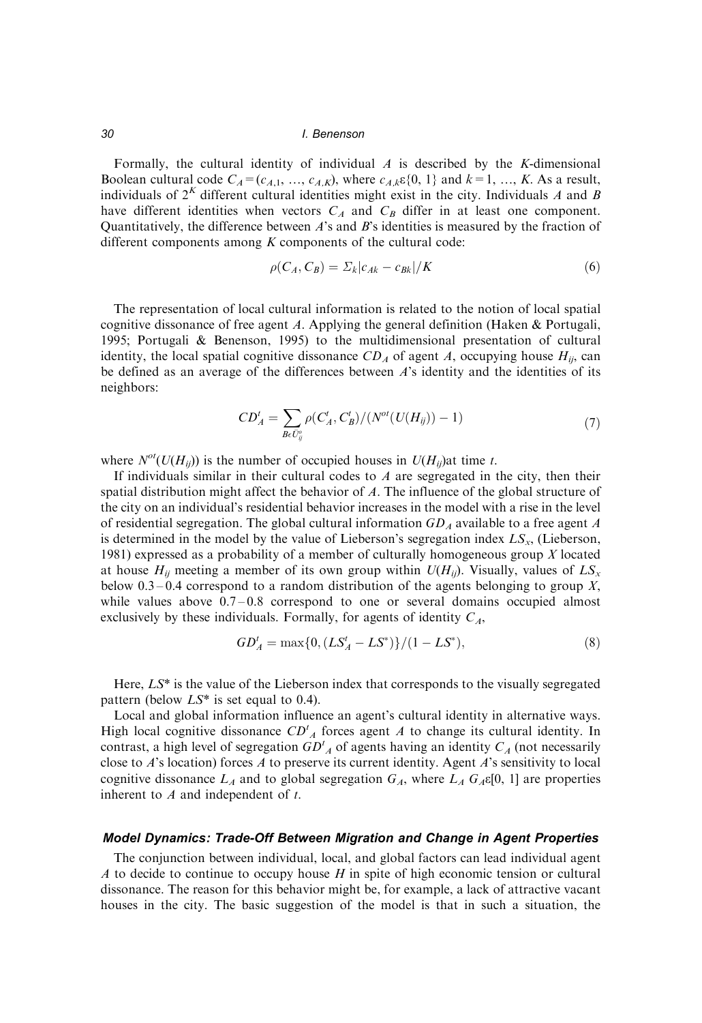Formally, the cultural identity of individual  $A$  is described by the K-dimensional Boolean cultural code  $C_A = (c_{A,1}, ..., c_{A,K})$ , where  $c_{A,k} \in \{0, 1\}$  and  $k = 1, ..., K$ . As a result, individuals of  $2<sup>K</sup>$  different cultural identities might exist in the city. Individuals A and B have different identities when vectors  $C_A$  and  $C_B$  differ in at least one component. Quantitatively, the difference between  $A$ 's and  $B$ 's identities is measured by the fraction of different components among  $K$  components of the cultural code:

$$
\rho(C_A, C_B) = \sum_k |c_{Ak} - c_{Bk}| / K \tag{6}
$$

The representation of local cultural information is related to the notion of local spatial cognitive dissonance of free agent A. Applying the general definition (Haken & Portugali, 1995; Portugali & Benenson, 1995) to the multidimensional presentation of cultural identity, the local spatial cognitive dissonance  $CD_A$  of agent A, occupying house  $H_{ii}$ , can be defined as an average of the differences between  $A$ 's identity and the identities of its neighbors:

$$
CD_A^t = \sum_{B \in \bar{U}_{ij}^o} \rho(C_A^t, C_B^t) / (N^{ot}(U(H_{ij})) - 1)
$$
\n(7)

where  $N^{ot}(U(H_{ii}))$  is the number of occupied houses in  $U(H_{ii})$ at time t.

If individuals similar in their cultural codes to  $A$  are segregated in the city, then their spatial distribution might affect the behavior of  $A$ . The influence of the global structure of the city on an individual's residential behavior increases in the model with a rise in the level of residential segregation. The global cultural information  $GD_A$  available to a free agent A is determined in the model by the value of Lieberson's segregation index  $LS_x$ , (Lieberson, 1981) expressed as a probability of a member of culturally homogeneous group X located at house  $H_{ij}$  meeting a member of its own group within  $U(H_{ij})$ . Visually, values of  $LS_x$ below  $0.3 - 0.4$  correspond to a random distribution of the agents belonging to group X, while values above  $0.7 - 0.8$  correspond to one or several domains occupied almost exclusively by these individuals. Formally, for agents of identity  $C<sub>A</sub>$ ,

$$
GD_A^t = \max\{0, (LS_A^t - LS^*)\}/(1 - LS^*),\tag{8}
$$

Here,  $LS^*$  is the value of the Lieberson index that corresponds to the visually segregated pattern (below  $LS^*$  is set equal to 0.4).

Local and global information influence an agent's cultural identity in alternative ways. High local cognitive dissonance  $CD<sup>t</sup><sub>A</sub>$  forces agent A to change its cultural identity. In contrast, a high level of segregation  $GD<sup>t</sup><sub>A</sub>$  of agents having an identity  $C_A$  (not necessarily close to  $A$ 's location) forces  $A$  to preserve its current identity. Agent  $A$ 's sensitivity to local cognitive dissonance  $L_A$  and to global segregation  $G_A$ , where  $L_A G_A \epsilon [0, 1]$  are properties inherent to  $A$  and independent of  $t$ .

# Model Dynamics: Trade-Off Between Migration and Change in Agent Properties

The conjunction between individual, local, and global factors can lead individual agent A to decide to continue to occupy house  $H$  in spite of high economic tension or cultural dissonance. The reason for this behavior might be, for example, a lack of attractive vacant houses in the city. The basic suggestion of the model is that in such a situation, the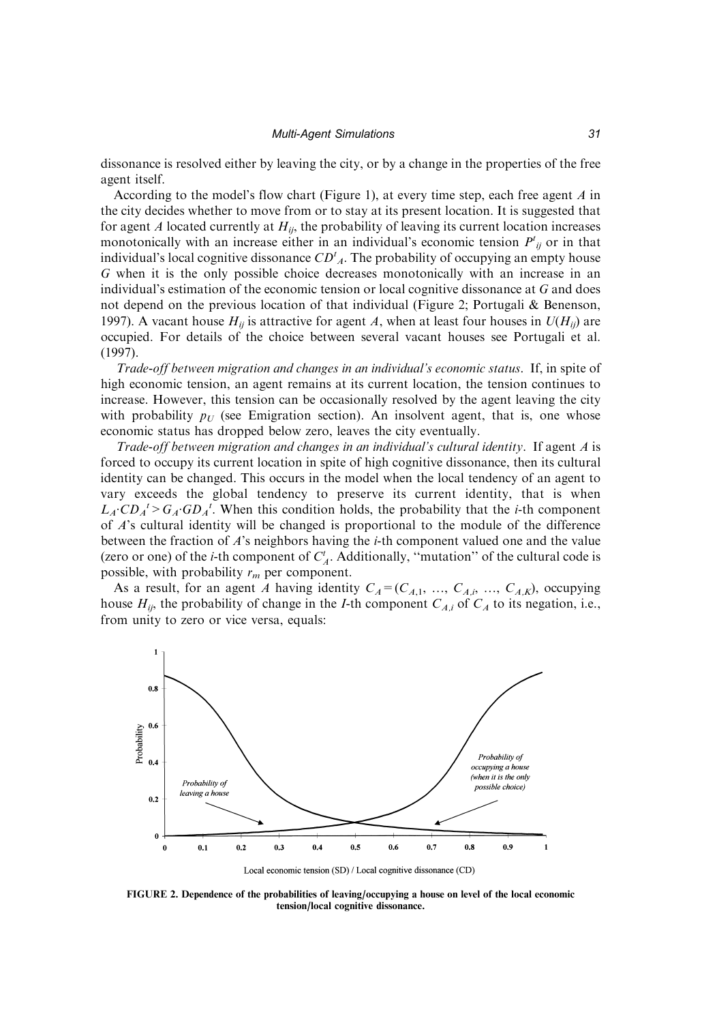dissonance is resolved either by leaving the city, or by a change in the properties of the free agent itself.

According to the model's flow chart (Figure 1), at every time step, each free agent  $A$  in the city decides whether to move from or to stay at its present location. It is suggested that for agent A located currently at  $H_{ii}$ , the probability of leaving its current location increases monotonically with an increase either in an individual's economic tension  $P_{ij}^t$  or in that individual's local cognitive dissonance  $CD<sup>t</sup><sub>A</sub>$ . The probability of occupying an empty house G when it is the only possible choice decreases monotonically with an increase in an individual's estimation of the economic tension or local cognitive dissonance at G and does not depend on the previous location of that individual (Figure 2; Portugali & Benenson, 1997). A vacant house  $H_{ij}$  is attractive for agent A, when at least four houses in  $U(H_{ij})$  are occupied. For details of the choice between several vacant houses see Portugali et al. (1997).

Trade-off between migration and changes in an individual's economic status. If, in spite of high economic tension, an agent remains at its current location, the tension continues to increase. However, this tension can be occasionally resolved by the agent leaving the city with probability  $p_U$  (see Emigration section). An insolvent agent, that is, one whose economic status has dropped below zero, leaves the city eventually.

Trade-off between migration and changes in an individual's cultural identity. If agent A is forced to occupy its current location in spite of high cognitive dissonance, then its cultural identity can be changed. This occurs in the model when the local tendency of an agent to vary exceeds the global tendency to preserve its current identity, that is when  $L_A \cdot CD_A^t > G_A \cdot GD_A^t$ . When this condition holds, the probability that the *i*-th component of A's cultural identity will be changed is proportional to the module of the difference between the fraction of  $\vec{A}$ 's neighbors having the *i*-th component valued one and the value (zero or one) of the *i*-th component of  $C_A^t$ . Additionally, "mutation" of the cultural code is possible, with probability  $r_m$  per component.

As a result, for an agent A having identity  $C_A=(C_{A,1}, ..., C_{A,i}, ..., C_{A,K})$ , occupying house  $H_{ij}$ , the probability of change in the *I*-th component  $C_{A,i}$  of  $C_A$  to its negation, i.e., from unity to zero or vice versa, equals:



Local economic tension (SD) / Local cognitive dissonance (CD)

FIGURE 2. Dependence of the probabilities of leaving/occupying a house on level of the local economic tension/local cognitive dissonance.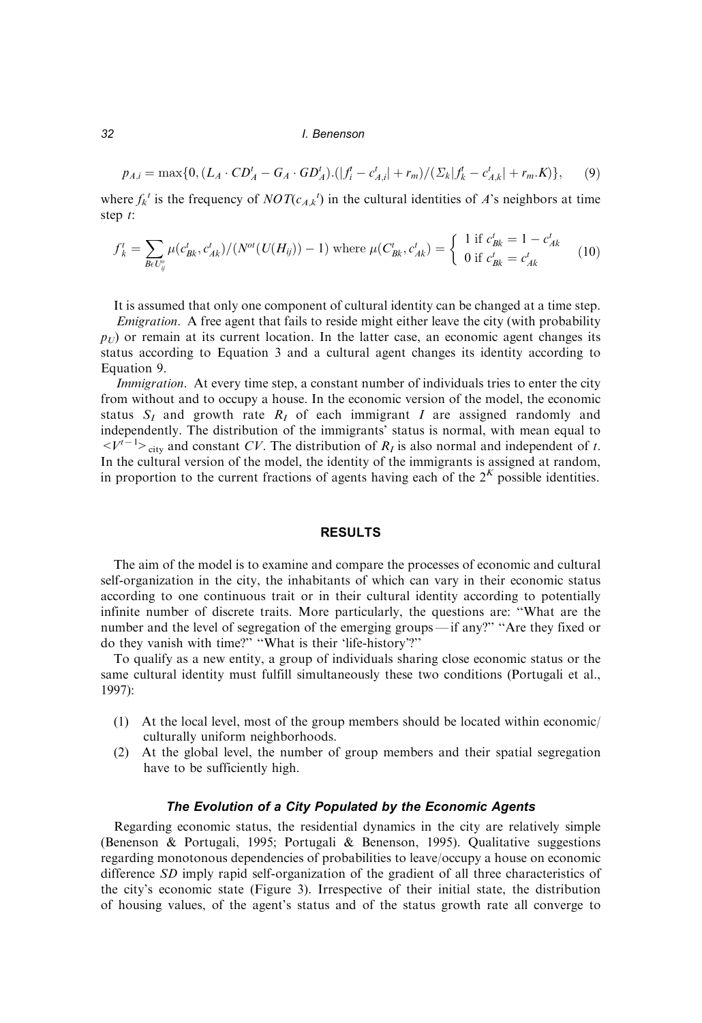$$
p_{A,i} = \max\{0, (L_A \cdot CD_A^t - G_A \cdot GD_A^t).(|f_i^t - c_{A,i}^t| + r_m)/(\Sigma_k|f_k^t - c_{A,k}^t| + r_m.K)\},\tag{9}
$$

where  $f_k^{\ t}$  is the frequency of  $NOT(c_{A,k}^{\ t})$  in the cultural identities of A's neighbors at time step t:

$$
f'_{k} = \sum_{B \in U_{ij}^{o}} \mu(c'_{Bk}, c'_{Ak}) / (N^{ot}(U(H_{ij})) - 1) \text{ where } \mu(C'_{Bk}, c'_{Ak}) = \begin{cases} 1 & \text{if } c'_{Bk} = 1 - c'_{Ak} \\ 0 & \text{if } c'_{Bk} = c'_{Ak} \end{cases}
$$
 (10)

It is assumed that only one component of cultural identity can be changed at a time step.

Emigration. A free agent that fails to reside might either leave the city (with probability  $p_U$ ) or remain at its current location. In the latter case, an economic agent changes its status according to Equation 3 and a cultural agent changes its identity according to Equation 9.

Immigration. At every time step, a constant number of individuals tries to enter the city from without and to occupy a house. In the economic version of the model, the economic status  $S_I$  and growth rate  $R_I$  of each immigrant I are assigned randomly and independently. The distribution of the immigrants' status is normal, with mean equal to  $\langle V^{i-1} \rangle$ <sub>city</sub> and constant CV. The distribution of  $R_I$  is also normal and independent of t. In the cultural version of the model, the identity of the immigrants is assigned at random, in proportion to the current fractions of agents having each of the  $2<sup>K</sup>$  possible identities.

## RESULTS

The aim of the model is to examine and compare the processes of economic and cultural self-organization in the city, the inhabitants of which can vary in their economic status according to one continuous trait or in their cultural identity according to potentially infinite number of discrete traits. More particularly, the questions are: "What are the number and the level of segregation of the emerging groups—if any?" "Are they fixed or do they vanish with time?" "What is their 'life-history'?"

To qualify as a new entity, a group of individuals sharing close economic status or the same cultural identity must fulfill simultaneously these two conditions (Portugali et al., 1997):

- (1) At the local level, most of the group members should be located within economic/ culturally uniform neighborhoods.
- (2) At the global level, the number of group members and their spatial segregation have to be sufficiently high.

# The Evolution of a City Populated by the Economic Agents

Regarding economic status, the residential dynamics in the city are relatively simple (Benenson & Portugali, 1995; Portugali & Benenson, 1995). Qualitative suggestions regarding monotonous dependencies of probabilities to leave/occupy a house on economic difference SD imply rapid self-organization of the gradient of all three characteristics of the city's economic state (Figure 3). Irrespective of their initial state, the distribution of housing values, of the agent's status and of the status growth rate all converge to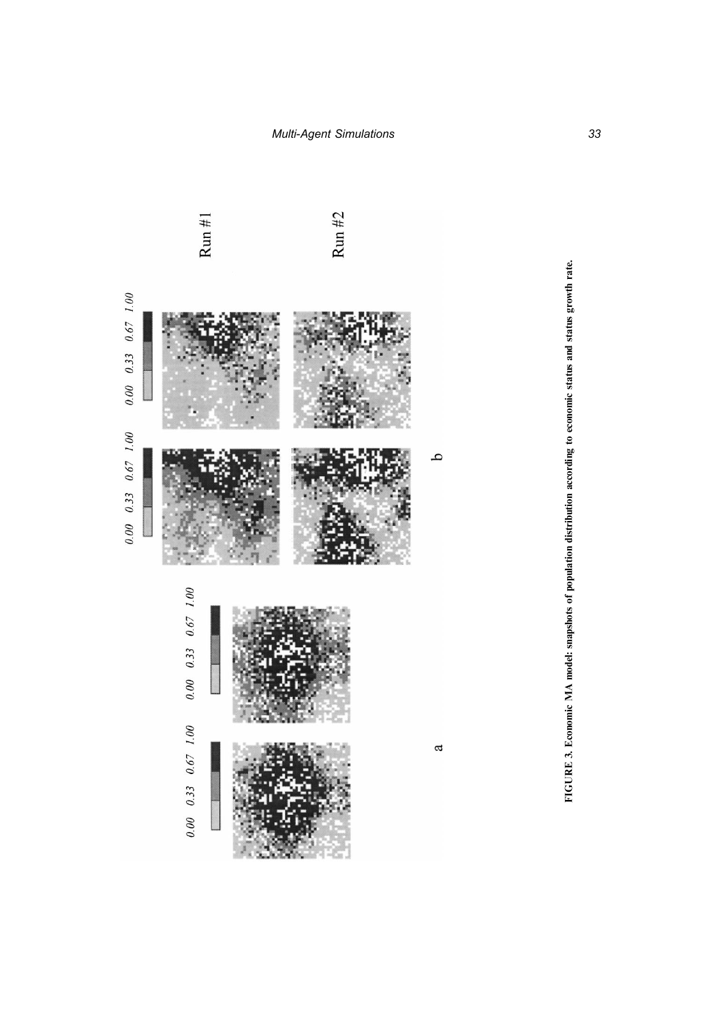

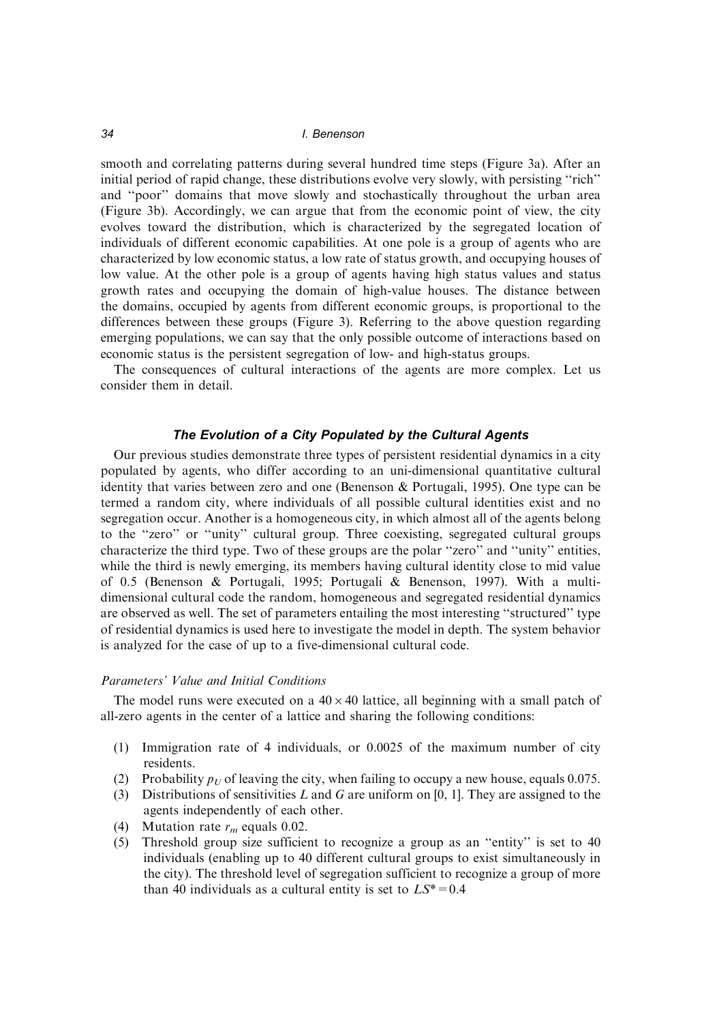smooth and correlating patterns during several hundred time steps (Figure 3a). After an initial period of rapid change, these distributions evolve very slowly, with persisting "rich" and "poor" domains that move slowly and stochastically throughout the urban area (Figure 3b). Accordingly, we can argue that from the economic point of view, the city evolves toward the distribution, which is characterized by the segregated location of individuals of different economic capabilities. At one pole is a group of agents who are characterized by low economic status, a low rate of status growth, and occupying houses of low value. At the other pole is a group of agents having high status values and status growth rates and occupying the domain of high-value houses. The distance between the domains, occupied by agents from different economic groups, is proportional to the differences between these groups (Figure 3). Referring to the above question regarding emerging populations, we can say that the only possible outcome of interactions based on economic status is the persistent segregation of low- and high-status groups.

The consequences of cultural interactions of the agents are more complex. Let us consider them in detail.

# The Evolution of a City Populated by the Cultural Agents

Our previous studies demonstrate three types of persistent residential dynamics in a city populated by agents, who differ according to an uni-dimensional quantitative cultural identity that varies between zero and one (Benenson & Portugali, 1995). One type can be termed a random city, where individuals of all possible cultural identities exist and no segregation occur. Another is a homogeneous city, in which almost all of the agents belong to the "zero" or "unity" cultural group. Three coexisting, segregated cultural groups characterize the third type. Two of these groups are the polar "zero" and "unity" entities, while the third is newly emerging, its members having cultural identity close to mid value of 0.5 (Benenson & Portugali, 1995; Portugali & Benenson, 1997). With a multidimensional cultural code the random, homogeneous and segregated residential dynamics are observed as well. The set of parameters entailing the most interesting "structured" type of residential dynamics is used here to investigate the model in depth. The system behavior is analyzed for the case of up to a five-dimensional cultural code.

#### Parameters' Value and Initial Conditions

The model runs were executed on a  $40 \times 40$  lattice, all beginning with a small patch of all-zero agents in the center of a lattice and sharing the following conditions:

- (1) Immigration rate of 4 individuals, or 0.0025 of the maximum number of city residents.
- (2) Probability  $p_U$  of leaving the city, when failing to occupy a new house, equals 0.075.
- (3) Distributions of sensitivities  $L$  and  $G$  are uniform on [0, 1]. They are assigned to the agents independently of each other.
- (4) Mutation rate  $r_m$  equals 0.02.
- (5) Threshold group size sufficient to recognize a group as an ``entity'' is set to 40 individuals (enabling up to 40 different cultural groups to exist simultaneously in the city). The threshold level of segregation sufficient to recognize a group of more than 40 individuals as a cultural entity is set to  $LS^* = 0.4$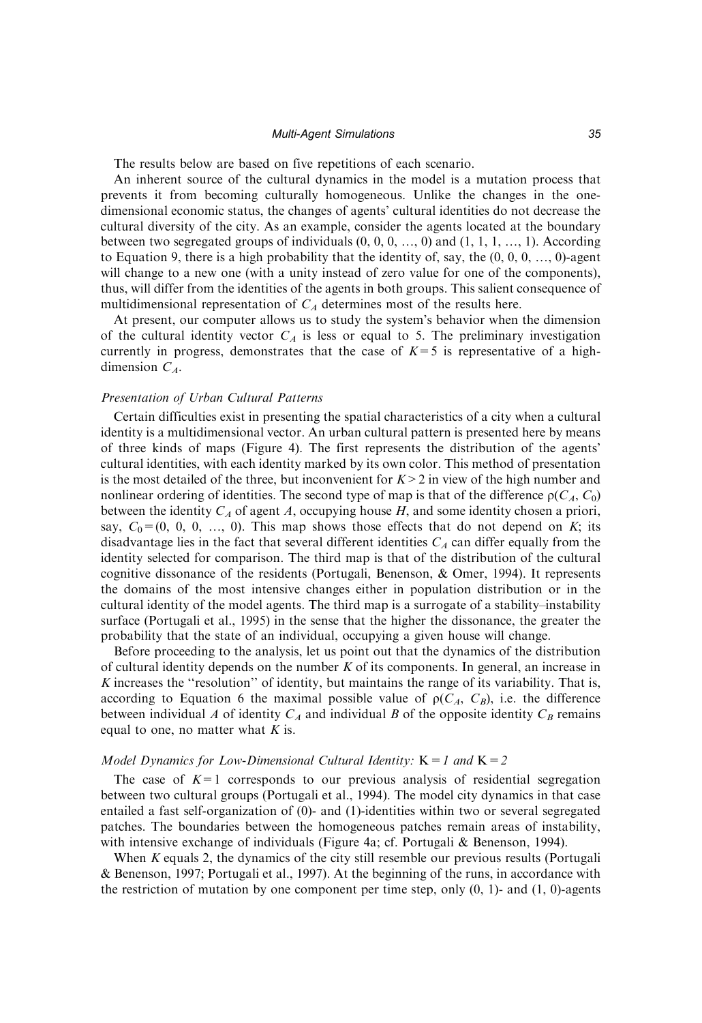The results below are based on five repetitions of each scenario.

An inherent source of the cultural dynamics in the model is a mutation process that prevents it from becoming culturally homogeneous. Unlike the changes in the onedimensional economic status, the changes of agents' cultural identities do not decrease the cultural diversity of the city. As an example, consider the agents located at the boundary between two segregated groups of individuals  $(0, 0, 0, \ldots, 0)$  and  $(1, 1, 1, \ldots, 1)$ . According to Equation 9, there is a high probability that the identity of, say, the  $(0, 0, 0, \ldots, 0)$ -agent will change to a new one (with a unity instead of zero value for one of the components), thus, will differ from the identities of the agents in both groups. This salient consequence of multidimensional representation of  $C_A$  determines most of the results here.

At present, our computer allows us to study the system's behavior when the dimension of the cultural identity vector  $C_A$  is less or equal to 5. The preliminary investigation currently in progress, demonstrates that the case of  $K=5$  is representative of a highdimension  $C_A$ .

#### Presentation of Urban Cultural Patterns

Certain difficulties exist in presenting the spatial characteristics of a city when a cultural identity is a multidimensional vector. An urban cultural pattern is presented here by means of three kinds of maps (Figure 4). The first represents the distribution of the agents' cultural identities, with each identity marked by its own color. This method of presentation is the most detailed of the three, but inconvenient for  $K > 2$  in view of the high number and nonlinear ordering of identities. The second type of map is that of the difference  $p(C_A, C_0)$ between the identity  $C_A$  of agent A, occupying house H, and some identity chosen a priori, say,  $C_0 = (0, 0, 0, \ldots, 0)$ . This map shows those effects that do not depend on K; its disadvantage lies in the fact that several different identities  $C<sub>A</sub>$  can differ equally from the identity selected for comparison. The third map is that of the distribution of the cultural cognitive dissonance of the residents (Portugali, Benenson, & Omer, 1994). It represents the domains of the most intensive changes either in population distribution or in the cultural identity of the model agents. The third map is a surrogate of a stability-instability surface (Portugali et al., 1995) in the sense that the higher the dissonance, the greater the probability that the state of an individual, occupying a given house will change.

Before proceeding to the analysis, let us point out that the dynamics of the distribution of cultural identity depends on the number  $K$  of its components. In general, an increase in K increases the "resolution" of identity, but maintains the range of its variability. That is, according to Equation 6 the maximal possible value of  $p(C_A, C_B)$ , i.e. the difference between individual A of identity  $C_A$  and individual B of the opposite identity  $C_B$  remains equal to one, no matter what  $K$  is.

#### Model Dynamics for Low-Dimensional Cultural Identity:  $K = 1$  and  $K = 2$

The case of  $K=1$  corresponds to our previous analysis of residential segregation between two cultural groups (Portugali et al., 1994). The model city dynamics in that case entailed a fast self-organization of (0)- and (1)-identities within two or several segregated patches. The boundaries between the homogeneous patches remain areas of instability, with intensive exchange of individuals (Figure 4a; cf. Portugali & Benenson, 1994).

When K equals 2, the dynamics of the city still resemble our previous results (Portugali & Benenson, 1997; Portugali et al., 1997). At the beginning of the runs, in accordance with the restriction of mutation by one component per time step, only  $(0, 1)$ - and  $(1, 0)$ -agents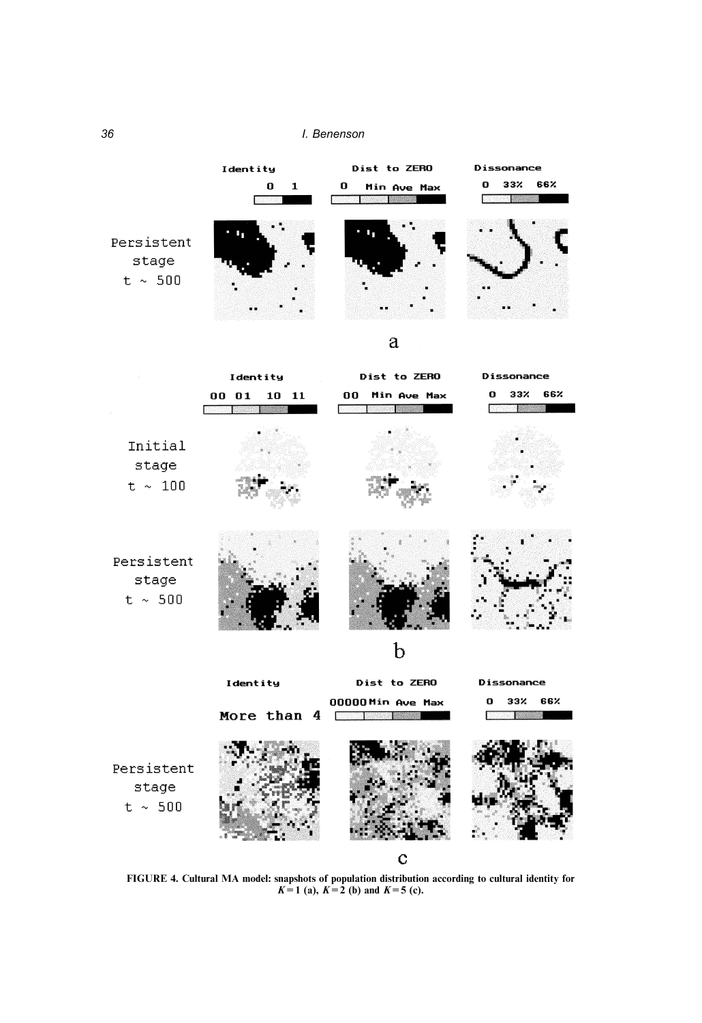

FIGURE 4. Cultural MA model: snapshots of population distribution according to cultural identity for  $K=1$  (a),  $K=2$  (b) and  $K=5$  (c).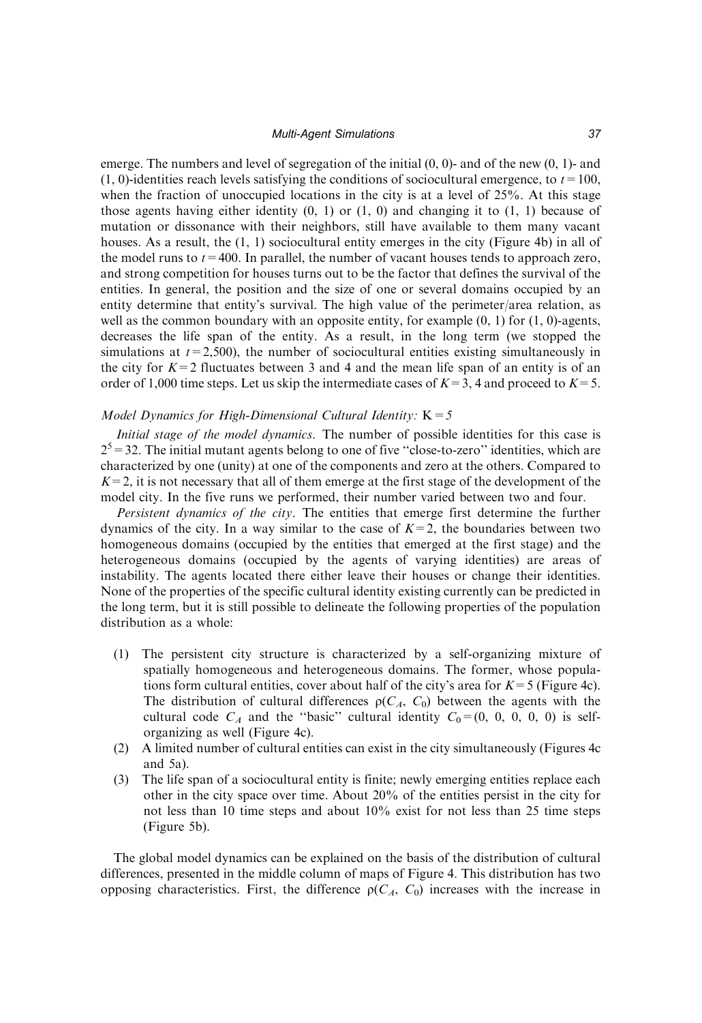emerge. The numbers and level of segregation of the initial  $(0, 0)$ - and of the new  $(0, 1)$ - and  $(1, 0)$ -identities reach levels satisfying the conditions of sociocultural emergence, to  $t=100$ , when the fraction of unoccupied locations in the city is at a level of 25%. At this stage those agents having either identity  $(0, 1)$  or  $(1, 0)$  and changing it to  $(1, 1)$  because of mutation or dissonance with their neighbors, still have available to them many vacant houses. As a result, the  $(1, 1)$  sociocultural entity emerges in the city (Figure 4b) in all of the model runs to  $t=400$ . In parallel, the number of vacant houses tends to approach zero, and strong competition for houses turns out to be the factor that defines the survival of the entities. In general, the position and the size of one or several domains occupied by an entity determine that entity's survival. The high value of the perimeter/area relation, as well as the common boundary with an opposite entity, for example  $(0, 1)$  for  $(1, 0)$ -agents, decreases the life span of the entity. As a result, in the long term (we stopped the simulations at  $t=2,500$ , the number of sociocultural entities existing simultaneously in the city for  $K=2$  fluctuates between 3 and 4 and the mean life span of an entity is of an order of 1,000 time steps. Let us skip the intermediate cases of  $K=3$ , 4 and proceed to  $K=5$ .

#### Model Dynamics for High-Dimensional Cultural Identity:  $K = 5$

Initial stage of the model dynamics. The number of possible identities for this case is  $2<sup>5</sup> = 32$ . The initial mutant agents belong to one of five "close-to-zero" identities, which are characterized by one (unity) at one of the components and zero at the others. Compared to  $K=2$ , it is not necessary that all of them emerge at the first stage of the development of the model city. In the five runs we performed, their number varied between two and four.

Persistent dynamics of the city. The entities that emerge first determine the further dynamics of the city. In a way similar to the case of  $K=2$ , the boundaries between two homogeneous domains (occupied by the entities that emerged at the first stage) and the heterogeneous domains (occupied by the agents of varying identities) are areas of instability. The agents located there either leave their houses or change their identities. None of the properties of the specific cultural identity existing currently can be predicted in the long term, but it is still possible to delineate the following properties of the population distribution as a whole:

- (1) The persistent city structure is characterized by a self-organizing mixture of spatially homogeneous and heterogeneous domains. The former, whose populations form cultural entities, cover about half of the city's area for  $K=5$  (Figure 4c). The distribution of cultural differences  $\rho(C_A, C_0)$  between the agents with the cultural code  $C_A$  and the "basic" cultural identity  $C_0=(0, 0, 0, 0, 0)$  is selforganizing as well (Figure 4c).
- (2) A limited number of cultural entities can exist in the city simultaneously (Figures 4c and 5a).
- (3) The life span of a sociocultural entity is finite; newly emerging entities replace each other in the city space over time. About 20% of the entities persist in the city for not less than 10 time steps and about 10% exist for not less than 25 time steps (Figure 5b).

The global model dynamics can be explained on the basis of the distribution of cultural differences, presented in the middle column of maps of Figure 4. This distribution has two opposing characteristics. First, the difference  $\rho(C_A, C_0)$  increases with the increase in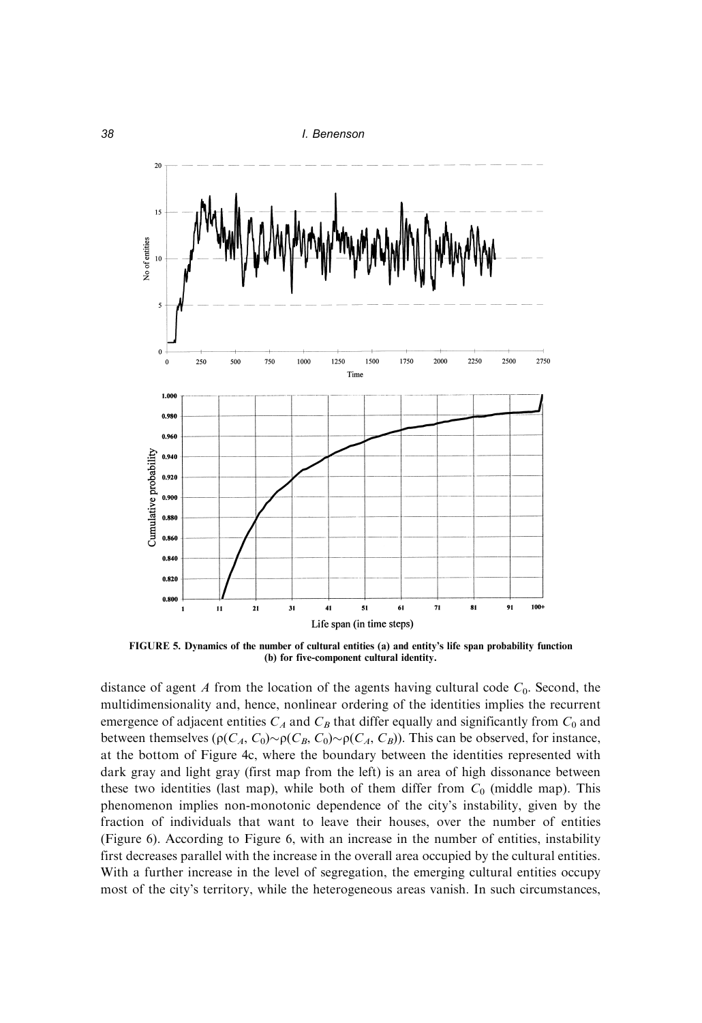

FIGURE 5. Dynamics of the number of cultural entities (a) and entity's life span probability function (b) for five-component cultural identity.

distance of agent  $A$  from the location of the agents having cultural code  $C_0$ . Second, the multidimensionality and, hence, nonlinear ordering of the identities implies the recurrent emergence of adjacent entities  $C_A$  and  $C_B$  that differ equally and significantly from  $C_0$  and between themselves  $(\rho(C_A, C_0) \sim \rho(C_B, C_0) \sim \rho(C_A, C_B))$ . This can be observed, for instance, at the bottom of Figure 4c, where the boundary between the identities represented with dark gray and light gray (first map from the left) is an area of high dissonance between these two identities (last map), while both of them differ from  $C_0$  (middle map). This phenomenon implies non-monotonic dependence of the city's instability, given by the fraction of individuals that want to leave their houses, over the number of entities (Figure 6). According to Figure 6, with an increase in the number of entities, instability first decreases parallel with the increase in the overall area occupied by the cultural entities. With a further increase in the level of segregation, the emerging cultural entities occupy most of the city's territory, while the heterogeneous areas vanish. In such circumstances,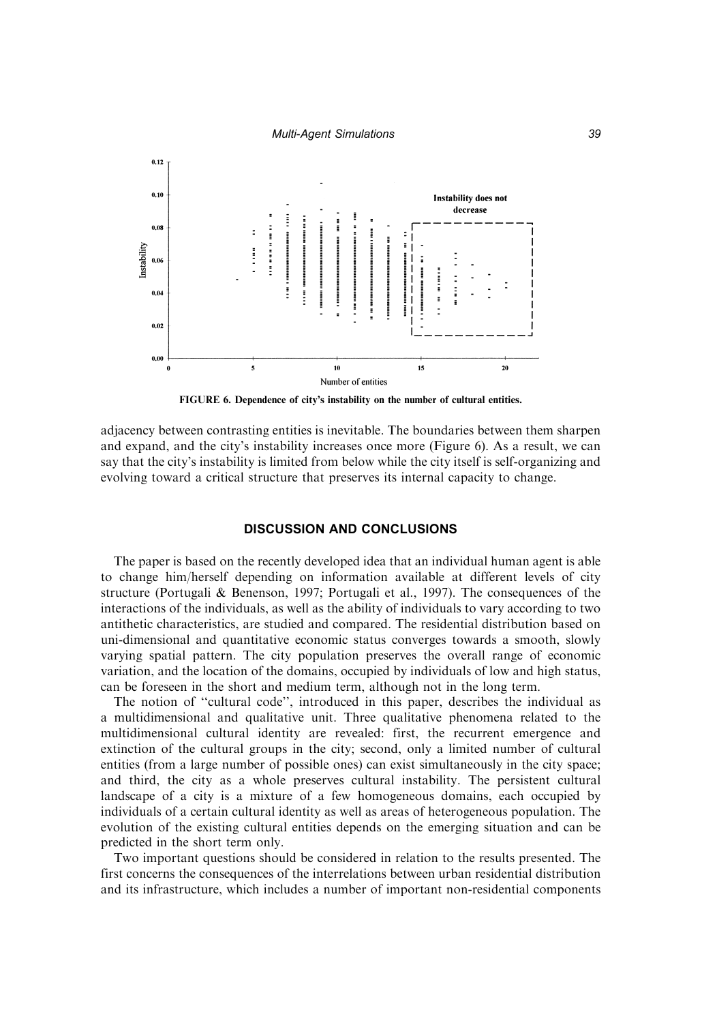

FIGURE 6. Dependence of city's instability on the number of cultural entities.

adjacency between contrasting entities is inevitable. The boundaries between them sharpen and expand, and the city's instability increases once more (Figure 6). As a result, we can say that the city's instability is limited from below while the city itself is self-organizing and evolving toward a critical structure that preserves its internal capacity to change.

# DISCUSSION AND CONCLUSIONS

The paper is based on the recently developed idea that an individual human agent is able to change him/herself depending on information available at different levels of city structure (Portugali & Benenson, 1997; Portugali et al., 1997). The consequences of the interactions of the individuals, as well as the ability of individuals to vary according to two antithetic characteristics, are studied and compared. The residential distribution based on uni-dimensional and quantitative economic status converges towards a smooth, slowly varying spatial pattern. The city population preserves the overall range of economic variation, and the location of the domains, occupied by individuals of low and high status, can be foreseen in the short and medium term, although not in the long term.

The notion of "cultural code", introduced in this paper, describes the individual as a multidimensional and qualitative unit. Three qualitative phenomena related to the multidimensional cultural identity are revealed: first, the recurrent emergence and extinction of the cultural groups in the city; second, only a limited number of cultural entities (from a large number of possible ones) can exist simultaneously in the city space; and third, the city as a whole preserves cultural instability. The persistent cultural landscape of a city is a mixture of a few homogeneous domains, each occupied by individuals of a certain cultural identity as well as areas of heterogeneous population. The evolution of the existing cultural entities depends on the emerging situation and can be predicted in the short term only.

Two important questions should be considered in relation to the results presented. The first concerns the consequences of the interrelations between urban residential distribution and its infrastructure, which includes a number of important non-residential components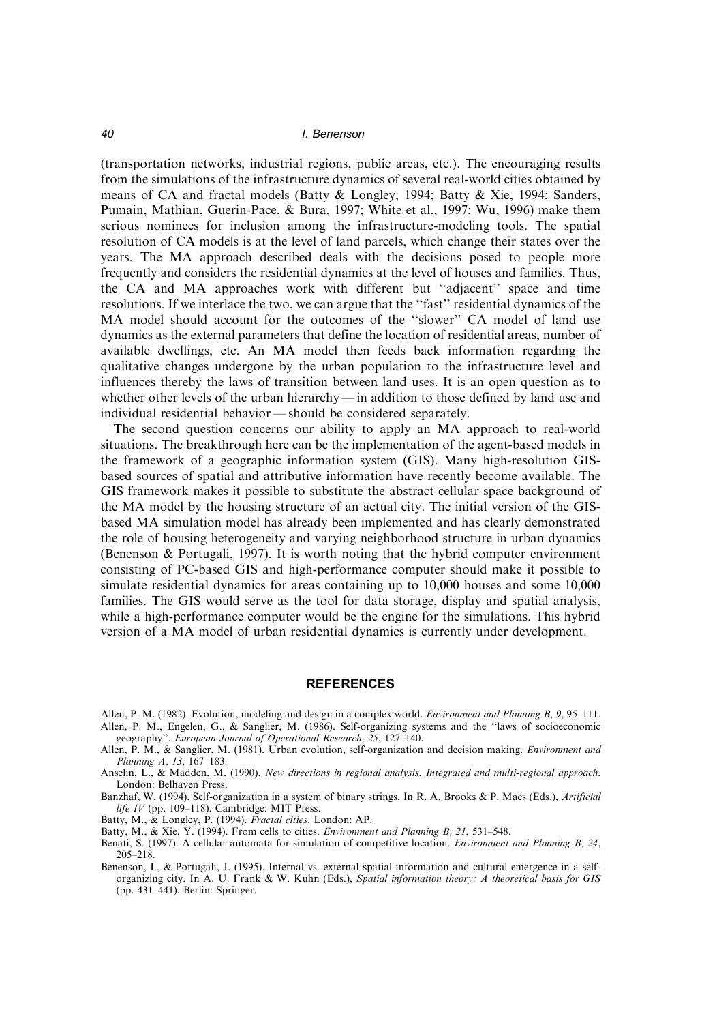(transportation networks, industrial regions, public areas, etc.). The encouraging results from the simulations of the infrastructure dynamics of several real-world cities obtained by means of CA and fractal models (Batty & Longley, 1994; Batty & Xie, 1994; Sanders, Pumain, Mathian, Guerin-Pace, & Bura, 1997; White et al., 1997; Wu, 1996) make them serious nominees for inclusion among the infrastructure-modeling tools. The spatial resolution of CA models is at the level of land parcels, which change their states over the years. The MA approach described deals with the decisions posed to people more frequently and considers the residential dynamics at the level of houses and families. Thus, the CA and MA approaches work with different but ``adjacent'' space and time resolutions. If we interlace the two, we can argue that the "fast" residential dynamics of the MA model should account for the outcomes of the "slower" CA model of land use dynamics as the external parameters that define the location of residential areas, number of available dwellings, etc. An MA model then feeds back information regarding the qualitative changes undergone by the urban population to the infrastructure level and influences thereby the laws of transition between land uses. It is an open question as to whether other levels of the urban hierarchy—in addition to those defined by land use and individual residential behavior — should be considered separately.

The second question concerns our ability to apply an MA approach to real-world situations. The breakthrough here can be the implementation of the agent-based models in the framework of a geographic information system (GIS). Many high-resolution GISbased sources of spatial and attributive information have recently become available. The GIS framework makes it possible to substitute the abstract cellular space background of the MA model by the housing structure of an actual city. The initial version of the GISbased MA simulation model has already been implemented and has clearly demonstrated the role of housing heterogeneity and varying neighborhood structure in urban dynamics (Benenson & Portugali, 1997). It is worth noting that the hybrid computer environment consisting of PC-based GIS and high-performance computer should make it possible to simulate residential dynamics for areas containing up to 10,000 houses and some 10,000 families. The GIS would serve as the tool for data storage, display and spatial analysis, while a high-performance computer would be the engine for the simulations. This hybrid version of a MA model of urban residential dynamics is currently under development.

#### REFERENCES

Allen, P. M. (1982). Evolution, modeling and design in a complex world. *Environment and Planning B*, 9, 95-111. Allen, P. M., Engelen, G., & Sanglier, M. (1986). Self-organizing systems and the "laws of socioeconomic geography". European Journal of Operational Research, 25, 127-140.

Allen, P. M., & Sanglier, M. (1981). Urban evolution, self-organization and decision making. *Environment and* Planning A, 13, 167-183.

Anselin, L., & Madden, M. (1990). New directions in regional analysis. Integrated and multi-regional approach. London: Belhaven Press.

Banzhaf, W. (1994). Self-organization in a system of binary strings. In R. A. Brooks & P. Maes (Eds.), Artificial life IV (pp. 109 $-118$ ). Cambridge: MIT Press.

Batty, M., & Longley, P. (1994). Fractal cities. London: AP.

Batty, M., & Xie, Y. (1994). From cells to cities. *Environment and Planning B*, 21, 531–548.

Benati, S. (1997). A cellular automata for simulation of competitive location. Environment and Planning B, 24, 205±218.

Benenson, I., & Portugali, J. (1995). Internal vs. external spatial information and cultural emergence in a selforganizing city. In A. U. Frank & W. Kuhn (Eds.), Spatial information theory: A theoretical basis for GIS (pp. 431±441). Berlin: Springer.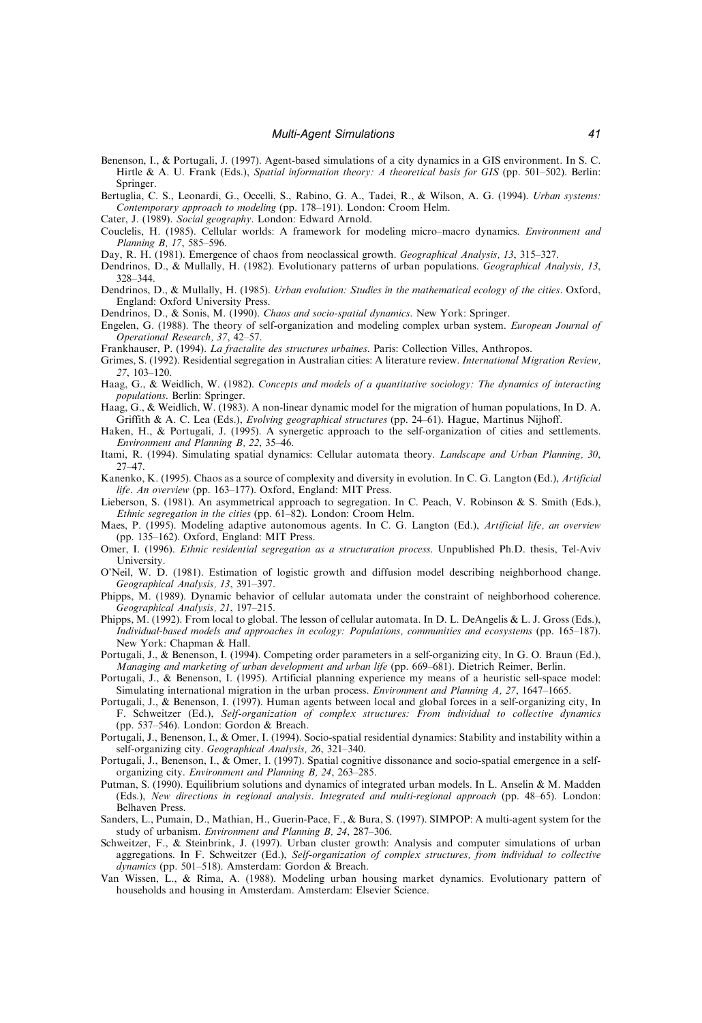Benenson, I., & Portugali, J. (1997). Agent-based simulations of a city dynamics in a GIS environment. In S. C. Hirtle & A. U. Frank (Eds.), Spatial information theory: A theoretical basis for GIS (pp. 501-502). Berlin: Springer.

Bertuglia, C. S., Leonardi, G., Occelli, S., Rabino, G. A., Tadei, R., & Wilson, A. G. (1994). Urban systems: Contemporary approach to modeling (pp. 178-191). London: Croom Helm.

Cater, J. (1989). Social geography. London: Edward Arnold.

Couclelis, H. (1985). Cellular worlds: A framework for modeling micro–macro dynamics. *Environment and* Planning  $B$ , 17, 585-596.

Day, R. H. (1981). Emergence of chaos from neoclassical growth. Geographical Analysis, 13, 315-327.

Dendrinos, D., & Mullally, H. (1982). Evolutionary patterns of urban populations. Geographical Analysis, 13, 328±344.

Dendrinos, D., & Mullally, H. (1985). *Urban evolution: Studies in the mathematical ecology of the cities*. Oxford, England: Oxford University Press.

Dendrinos, D., & Sonis, M. (1990). Chaos and socio-spatial dynamics. New York: Springer.

Engelen, G. (1988). The theory of self-organization and modeling complex urban system. European Journal of Operational Research, 37, 42-57.

Frankhauser, P. (1994). La fractalite des structures urbaines. Paris: Collection Villes, Anthropos.

- Grimes, S. (1992). Residential segregation in Australian cities: A literature review. International Migration Review, 27, 103±120.
- Haag, G., & Weidlich, W. (1982). Concepts and models of a quantitative sociology: The dynamics of interacting populations. Berlin: Springer.
- Haag, G., & Weidlich, W. (1983). A non-linear dynamic model for the migration of human populations, In D. A. Griffith & A. C. Lea (Eds.), Evolving geographical structures (pp. 24-61). Hague, Martinus Nijhoff.
- Haken, H., & Portugali, J. (1995). A synergetic approach to the self-organization of cities and settlements. Environment and Planning B, 22, 35-46.
- Itami, R. (1994). Simulating spatial dynamics: Cellular automata theory. Landscape and Urban Planning, 30, 27±47.
- Kanenko, K. (1995). Chaos as a source of complexity and diversity in evolution. In C. G. Langton (Ed.), Artificial life. An overview (pp. 163-177). Oxford, England: MIT Press.
- Lieberson, S. (1981). An asymmetrical approach to segregation. In C. Peach, V. Robinson & S. Smith (Eds.), Ethnic segregation in the cities (pp. 61-82). London: Croom Helm.
- Maes, P. (1995). Modeling adaptive autonomous agents. In C. G. Langton (Ed.), Artificial life, an overview (pp. 135-162). Oxford, England: MIT Press.
- Omer, I. (1996). Ethnic residential segregation as a structuration process. Unpublished Ph.D. thesis, Tel-Aviv University.
- O'Neil, W. D. (1981). Estimation of logistic growth and diffusion model describing neighborhood change. Geographical Analysis, 13, 391–397.
- Phipps, M. (1989). Dynamic behavior of cellular automata under the constraint of neighborhood coherence. Geographical Analysis, 21, 197-215.
- Phipps, M. (1992). From local to global. The lesson of cellular automata. In D. L. DeAngelis & L. J. Gross (Eds.), Individual-based models and approaches in ecology: Populations, communities and ecosystems (pp. 165-187). New York: Chapman & Hall.
- Portugali, J., & Benenson, I. (1994). Competing order parameters in a self-organizing city, In G. O. Braun (Ed.), Managing and marketing of urban development and urban life (pp. 669–681). Dietrich Reimer, Berlin.
- Portugali, J., & Benenson, I. (1995). Artificial planning experience my means of a heuristic sell-space model: Simulating international migration in the urban process. *Environment and Planning A, 27,* 1647–1665.
- Portugali, J., & Benenson, I. (1997). Human agents between local and global forces in a self-organizing city, In F. Schweitzer (Ed.), Self-organization of complex structures: From individual to collective dynamics (pp. 537-546). London: Gordon & Breach.
- Portugali, J., Benenson, I., & Omer, I. (1994). Socio-spatial residential dynamics: Stability and instability within a self-organizing city. Geographical Analysis, 26, 321-340.
- Portugali, J., Benenson, I., & Omer, I. (1997). Spatial cognitive dissonance and socio-spatial emergence in a selforganizing city. Environment and Planning B, 24, 263-285.
- Putman, S. (1990). Equilibrium solutions and dynamics of integrated urban models. In L. Anselin & M. Madden (Eds.), New directions in regional analysis. Integrated and multi-regional approach (pp. 48-65). London: Belhaven Press.
- Sanders, L., Pumain, D., Mathian, H., Guerin-Pace, F., & Bura, S. (1997). SIMPOP: A multi-agent system for the study of urbanism. Environment and Planning B, 24, 287-306.
- Schweitzer, F., & Steinbrink, J. (1997). Urban cluster growth: Analysis and computer simulations of urban aggregations. In F. Schweitzer (Ed.), Self-organization of complex structures, from individual to collective dynamics (pp. 501-518). Amsterdam: Gordon & Breach.
- Van Wissen, L., & Rima, A. (1988). Modeling urban housing market dynamics. Evolutionary pattern of households and housing in Amsterdam. Amsterdam: Elsevier Science.